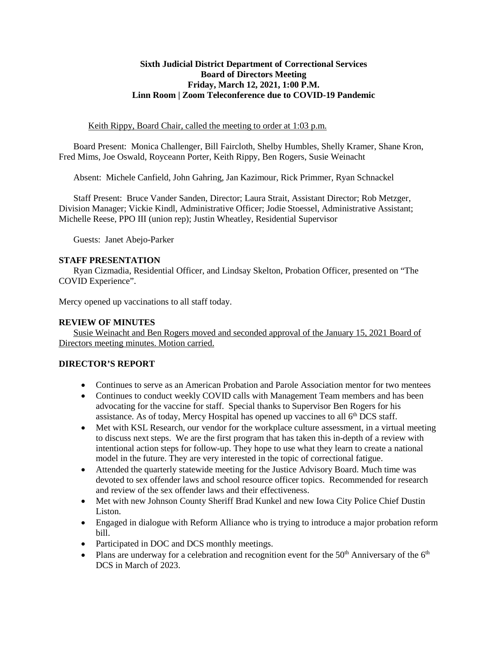#### **Sixth Judicial District Department of Correctional Services Board of Directors Meeting Friday, March 12, 2021, 1:00 P.M. Linn Room | Zoom Teleconference due to COVID-19 Pandemic**

#### Keith Rippy, Board Chair, called the meeting to order at 1:03 p.m.

Board Present: Monica Challenger, Bill Faircloth, Shelby Humbles, Shelly Kramer, Shane Kron, Fred Mims, Joe Oswald, Royceann Porter, Keith Rippy, Ben Rogers, Susie Weinacht

Absent: Michele Canfield, John Gahring, Jan Kazimour, Rick Primmer, Ryan Schnackel

Staff Present: Bruce Vander Sanden, Director; Laura Strait, Assistant Director; Rob Metzger, Division Manager; Vickie Kindl, Administrative Officer; Jodie Stoessel, Administrative Assistant; Michelle Reese, PPO III (union rep); Justin Wheatley, Residential Supervisor

Guests: Janet Abejo-Parker

# **STAFF PRESENTATION**

Ryan Cizmadia, Residential Officer, and Lindsay Skelton, Probation Officer, presented on "The COVID Experience".

Mercy opened up vaccinations to all staff today.

# **REVIEW OF MINUTES**

Susie Weinacht and Ben Rogers moved and seconded approval of the January 15, 2021 Board of Directors meeting minutes. Motion carried.

# **DIRECTOR'S REPORT**

- Continues to serve as an American Probation and Parole Association mentor for two mentees
- Continues to conduct weekly COVID calls with Management Team members and has been advocating for the vaccine for staff. Special thanks to Supervisor Ben Rogers for his assistance. As of today, Mercy Hospital has opened up vaccines to all 6<sup>th</sup> DCS staff.
- Met with KSL Research, our vendor for the workplace culture assessment, in a virtual meeting to discuss next steps. We are the first program that has taken this in-depth of a review with intentional action steps for follow-up. They hope to use what they learn to create a national model in the future. They are very interested in the topic of correctional fatigue.
- Attended the quarterly statewide meeting for the Justice Advisory Board. Much time was devoted to sex offender laws and school resource officer topics. Recommended for research and review of the sex offender laws and their effectiveness.
- Met with new Johnson County Sheriff Brad Kunkel and new Iowa City Police Chief Dustin Liston.
- Engaged in dialogue with Reform Alliance who is trying to introduce a major probation reform bill.
- Participated in DOC and DCS monthly meetings.
- Plans are underway for a celebration and recognition event for the  $50<sup>th</sup>$  Anniversary of the  $6<sup>th</sup>$ DCS in March of 2023.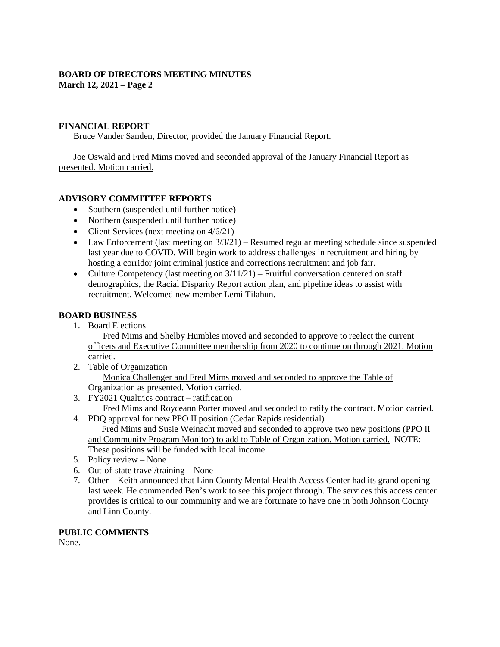# **BOARD OF DIRECTORS MEETING MINUTES March 12, 2021 – Page 2**

#### **FINANCIAL REPORT**

Bruce Vander Sanden, Director, provided the January Financial Report.

Joe Oswald and Fred Mims moved and seconded approval of the January Financial Report as presented. Motion carried.

# **ADVISORY COMMITTEE REPORTS**

- Southern (suspended until further notice)
- Northern (suspended until further notice)
- Client Services (next meeting on  $4/6/21$ )
- Law Enforcement (last meeting on  $3/3/21$ ) Resumed regular meeting schedule since suspended last year due to COVID. Will begin work to address challenges in recruitment and hiring by hosting a corridor joint criminal justice and corrections recruitment and job fair.
- Culture Competency (last meeting on  $3/11/21$ ) Fruitful conversation centered on staff demographics, the Racial Disparity Report action plan, and pipeline ideas to assist with recruitment. Welcomed new member Lemi Tilahun.

#### **BOARD BUSINESS**

1. Board Elections

Fred Mims and Shelby Humbles moved and seconded to approve to reelect the current officers and Executive Committee membership from 2020 to continue on through 2021. Motion carried.

- 2. Table of Organization Monica Challenger and Fred Mims moved and seconded to approve the Table of Organization as presented. Motion carried.
- 3. FY2021 Qualtrics contract ratification Fred Mims and Royceann Porter moved and seconded to ratify the contract. Motion carried.
- 4. PDQ approval for new PPO II position (Cedar Rapids residential) Fred Mims and Susie Weinacht moved and seconded to approve two new positions (PPO II and Community Program Monitor) to add to Table of Organization. Motion carried. NOTE: These positions will be funded with local income.
- 5. Policy review None
- 6. Out-of-state travel/training None
- 7. Other Keith announced that Linn County Mental Health Access Center had its grand opening last week. He commended Ben's work to see this project through. The services this access center provides is critical to our community and we are fortunate to have one in both Johnson County and Linn County.

# **PUBLIC COMMENTS**

None.